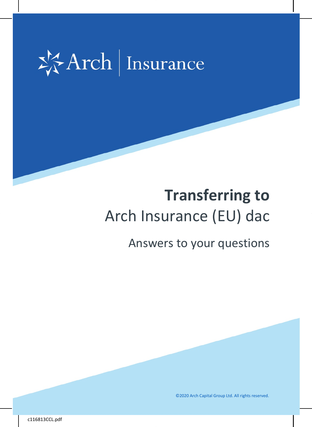

# **Transferring to**  Arch Insurance (EU) dac

# Answers to your questions

©2020 Arch Capital Group Ltd. All rights reserved.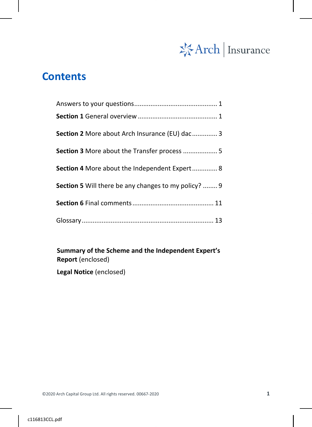

# **Contents**

| Section 2 More about Arch Insurance (EU) dac 3              |
|-------------------------------------------------------------|
| Section 3 More about the Transfer process  5                |
| <b>Section 4</b> More about the Independent Expert 8        |
| <b>Section 5</b> Will there be any changes to my policy?  9 |
|                                                             |
|                                                             |

**Summary of the Scheme and the Independent Expert's Report** (enclosed)

**Legal Notice** (enclosed)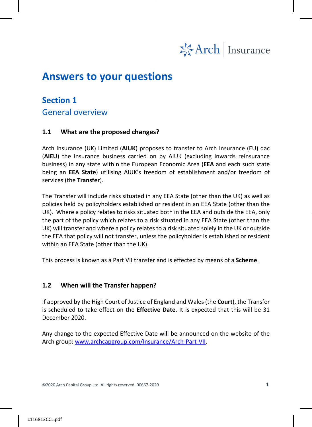

# <span id="page-2-0"></span>**Answers to your questions**

### <span id="page-2-1"></span>**Section 1**

General overview

#### **1.1 What are the proposed changes?**

Arch Insurance (UK) Limited (**AIUK**) proposes to transfer to Arch Insurance (EU) dac (**AIEU**) the insurance business carried on by AIUK (excluding inwards reinsurance business) in any state within the European Economic Area (**EEA** and each such state being an **EEA State**) utilising AIUK's freedom of establishment and/or freedom of services (the **Transfer**).

The Transfer will include risks situated in any EEA State (other than the UK) as well as policies held by policyholders established or resident in an EEA State (other than the UK). Where a policy relates to risks situated both in the EEA and outside the EEA, only the part of the policy which relates to a risk situated in any EEA State (other than the UK) will transfer and where a policy relates to a risk situated solely in the UK or outside the EEA that policy will not transfer, unless the policyholder is established or resident within an EEA State (other than the UK).

This process is known as a Part VII transfer and is effected by means of a **Scheme**.

#### **1.2 When will the Transfer happen?**

If approved by the High Court of Justice of England and Wales (the **Court**), the Transfer is scheduled to take effect on the **Effective Date**. It is expected that this will be 31 December 2020.

Any change to the expected Effective Date will be announced on the website of the Arch group: [www.archcapgroup.com/Insurance/Arch-Part-VII.](http://www.archcapgroup.com/Insurance/Arch-Part-VII)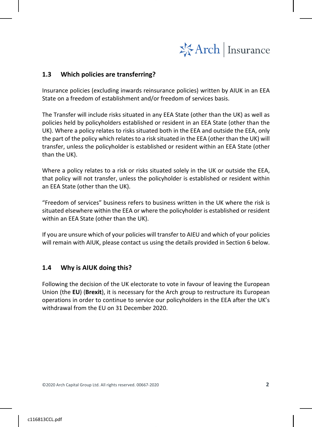

#### **1.3 Which policies are transferring?**

Insurance policies (excluding inwards reinsurance policies) written by AIUK in an EEA State on a freedom of establishment and/or freedom of services basis.

The Transfer will include risks situated in any EEA State (other than the UK) as well as policies held by policyholders established or resident in an EEA State (other than the UK). Where a policy relates to risks situated both in the EEA and outside the EEA, only the part of the policy which relates to a risk situated in the EEA (other than the UK) will transfer, unless the policyholder is established or resident within an EEA State (other than the UK).

Where a policy relates to a risk or risks situated solely in the UK or outside the EEA, that policy will not transfer, unless the policyholder is established or resident within an EEA State (other than the UK).

"Freedom of services" business refers to business written in the UK where the risk is situated elsewhere within the EEA or where the policyholder is established or resident within an EEA State (other than the UK).

If you are unsure which of your policies will transfer to AIEU and which of your policies will remain with AIUK, please contact us using the details provided in Section 6 below.

#### **1.4 Why is AIUK doing this?**

<span id="page-3-0"></span>Following the decision of the UK electorate to vote in favour of leaving the European Union (the **EU**) (**Brexit**), it is necessary for the Arch group to restructure its European operations in order to continue to service our policyholders in the EEA after the UK's withdrawal from the EU on 31 December 2020.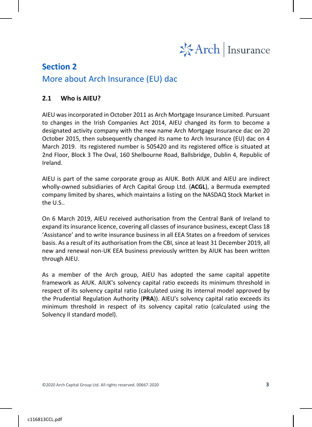

### **Section 2**

### More about Arch Insurance (EU) dac

#### **2.1 Who is AIEU?**

AIEU was incorporated in October 2011 as Arch Mortgage Insurance Limited. Pursuant to changes in the Irish Companies Act 2014, AIEU changed its form to become a designated activity company with the new name Arch Mortgage Insurance dac on 20 October 2015, then subsequently changed its name to Arch Insurance (EU) dac on 4 March 2019. Its registered number is 505420 and its registered office is situated at 2nd Floor, Block 3 The Oval, 160 Shelbourne Road, Ballsbridge, Dublin 4, Republic of Ireland.

AIEU is part of the same corporate group as AIUK. Both AIUK and AIEU are indirect wholly-owned subsidiaries of Arch Capital Group Ltd. (**ACGL**), a Bermuda exempted company limited by shares, which maintains a listing on the NASDAQ Stock Market in the U.S..

On 6 March 2019, AIEU received authorisation from the Central Bank of Ireland to expand its insurance licence, covering all classes of insurance business, except Class 18 'Assistance' and to write insurance business in all EEA States on a freedom of services basis. As a result of its authorisation from the CBI, since at least 31 December 2019, all new and renewal non-UK EEA business previously written by AIUK has been written through AIEU.

As a member of the Arch group, AIEU has adopted the same capital appetite framework as AIUK. AIUK's solvency capital ratio exceeds its minimum threshold in respect of its solvency capital ratio (calculated using its internal model approved by the Prudential Regulation Authority (**PRA**)). AIEU's solvency capital ratio exceeds its minimum threshold in respect of its solvency capital ratio (calculated using the Solvency II standard model).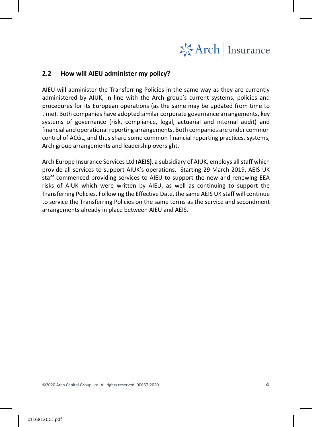

#### **2.2 How will AIEU administer my policy?**

AIEU will administer the Transferring Policies in the same way as they are currently administered by AIUK, in line with the Arch group's current systems, policies and procedures for its European operations (as the same may be updated from time to time). Both companies have adopted similar corporate governance arrangements, key systems of governance (risk, compliance, legal, actuarial and internal audit) and financial and operational reporting arrangements. Both companies are under common control of ACGL, and thus share some common financial reporting practices, systems, Arch group arrangements and leadership oversight.

<span id="page-5-0"></span>Arch Europe Insurance Services Ltd (**AEIS)**, a subsidiary of AIUK, employs all staff which provide all services to support AIUK's operations. Starting 29 March 2019, AEIS UK staff commenced providing services to AIEU to support the new and renewing EEA risks of AIUK which were written by AIEU, as well as continuing to support the Transferring Policies. Following the Effective Date, the same AEIS UK staff will continue to service the Transferring Policies on the same terms as the service and secondment arrangements already in place between AIEU and AEIS.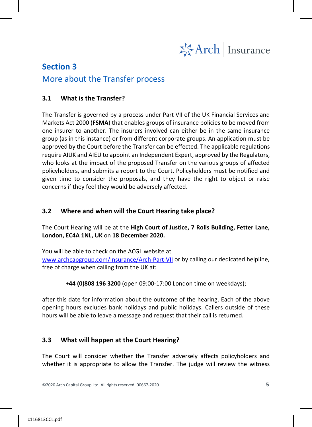

## **Section 3** More about the Transfer process

#### **3.1 What is the Transfer?**

The Transfer is governed by a process under Part VII of the UK Financial Services and Markets Act 2000 (**FSMA**) that enables groups of insurance policies to be moved from one insurer to another. The insurers involved can either be in the same insurance group (as in this instance) or from different corporate groups. An application must be approved by the Court before the Transfer can be effected. The applicable regulations require AIUK and AIEU to appoint an Independent Expert, approved by the Regulators, who looks at the impact of the proposed Transfer on the various groups of affected policyholders, and submits a report to the Court. Policyholders must be notified and given time to consider the proposals, and they have the right to object or raise concerns if they feel they would be adversely affected.

#### **3.2 Where and when will the Court Hearing take place?**

The Court Hearing will be at the **High Court of Justice, 7 Rolls Building, Fetter Lane, London, EC4A 1NL, UK** on **18 December 2020.**

You will be able to check on the ACGL website at

[www.archcapgroup.com/Insurance/Arch-Part-VII](http://www.archcapgroup.com/Insurance/Arch-Part-VII) or by calling our dedicated helpline, free of charge when calling from the UK at:

**+44 (0)808 196 3200** (open 09:00-17:00 London time on weekdays);

after this date for information about the outcome of the hearing. Each of the above opening hours excludes bank holidays and public holidays. Callers outside of these hours will be able to leave a message and request that their call is returned.

#### **3.3 What will happen at the Court Hearing?**

The Court will consider whether the Transfer adversely affects policyholders and whether it is appropriate to allow the Transfer. The judge will review the witness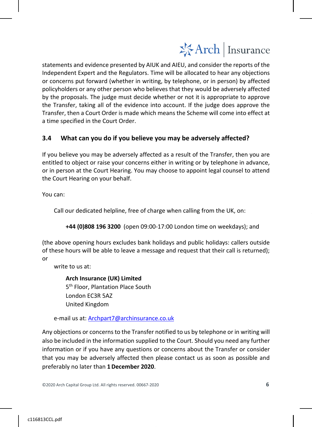# 岑Arch | Insurance

statements and evidence presented by AIUK and AIEU, and consider the reports of the Independent Expert and the Regulators. Time will be allocated to hear any objections or concerns put forward (whether in writing, by telephone, or in person) by affected policyholders or any other person who believes that they would be adversely affected by the proposals. The judge must decide whether or not it is appropriate to approve the Transfer, taking all of the evidence into account. If the judge does approve the Transfer, then a Court Order is made which means the Scheme will come into effect at a time specified in the Court Order.

#### **3.4 What can you do if you believe you may be adversely affected?**

If you believe you may be adversely affected as a result of the Transfer, then you are entitled to object or raise your concerns either in writing or by telephone in advance, or in person at the Court Hearing. You may choose to appoint legal counsel to attend the Court Hearing on your behalf.

You can:

Call our dedicated helpline, free of charge when calling from the UK, on:

**+44 (0)808 196 3200** (open 09:00-17:00 London time on weekdays); and

(the above opening hours excludes bank holidays and public holidays: callers outside of these hours will be able to leave a message and request that their call is returned); or

write to us at:

**Arch Insurance (UK) Limited** 5<sup>th</sup> Floor, Plantation Place South London EC3R 5AZ United Kingdom

e-mail us at: [Archpart7@archinsurance.co.uk](mailto:Archpart7@archinsurance.co.uk)

Any objections or concerns to the Transfer notified to us by telephone or in writing will also be included in the information supplied to the Court. Should you need any further information or if you have any questions or concerns about the Transfer or consider that you may be adversely affected then please contact us as soon as possible and preferably no later than **1December 2020**.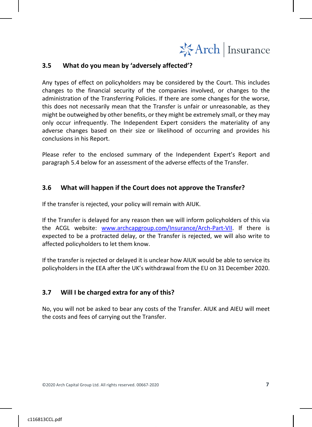

#### **3.5 What do you mean by 'adversely affected'?**

Any types of effect on policyholders may be considered by the Court. This includes changes to the financial security of the companies involved, or changes to the administration of the Transferring Policies. If there are some changes for the worse, this does not necessarily mean that the Transfer is unfair or unreasonable, as they might be outweighed by other benefits, or they might be extremely small, or they may only occur infrequently. The Independent Expert considers the materiality of any adverse changes based on their size or likelihood of occurring and provides his conclusions in his Report.

Please refer to the enclosed summary of the Independent Expert's Report and paragraph 5.4 below for an assessment of the adverse effects of the Transfer.

#### **3.6 What will happen if the Court does not approve the Transfer?**

If the transfer is rejected, your policy will remain with AIUK.

If the Transfer is delayed for any reason then we will inform policyholders of this via the ACGL website: www.archcapgroup.com/Insurance/Arch-Part-VII. If there is expected to be a protracted delay, or the Transfer is rejected, we will also write to affected policyholders to let them know.

If the transfer is rejected or delayed it is unclear how AIUK would be able to service its policyholders in the EEA after the UK's withdrawal from the EU on 31 December 2020.

#### **3.7 Will I be charged extra for any of this?**

<span id="page-8-0"></span>No, you will not be asked to bear any costs of the Transfer. AIUK and AIEU will meet the costs and fees of carrying out the Transfer.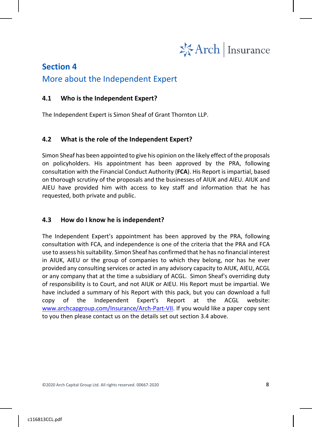

### **Section 4**

### More about the Independent Expert

#### **4.1 Who is the Independent Expert?**

The Independent Expert is Simon Sheaf of Grant Thornton LLP.

#### **4.2 What is the role of the Independent Expert?**

Simon Sheaf has been appointed to give his opinion on the likely effect of the proposals on policyholders. His appointment has been approved by the PRA, following consultation with the Financial Conduct Authority (**FCA**). His Report is impartial, based on thorough scrutiny of the proposals and the businesses of AIUK and AIEU. AIUK and AIEU have provided him with access to key staff and information that he has requested, both private and public.

#### **4.3 How do I know he is independent?**

<span id="page-9-0"></span>The Independent Expert's appointment has been approved by the PRA, following consultation with FCA, and independence is one of the criteria that the PRA and FCA use to assess his suitability. Simon Sheaf has confirmed that he has no financial interest in AIUK, AIEU or the group of companies to which they belong, nor has he ever provided any consulting services or acted in any advisory capacity to AIUK, AIEU, ACGL or any company that at the time a subsidiary of ACGL. Simon Sheaf's overriding duty of responsibility is to Court, and not AIUK or AIEU. His Report must be impartial. We have included a summary of his Report with this pack, but you can download a full copy of the Independent Expert's Report at the ACGL website: [www.archcapgroup.com/Insurance/Arch-Part-VII.](file://wplfs02/home$/ILi/My%20Documents/Project%20Document/ERM/Part%20VII/Document/Arch/Notification/Communication%20Pack/www.archcapgroup.com/Insurance/Arch-Part-VII) If you would like a paper copy sent to you then please contact us on the details set out section 3.4 above.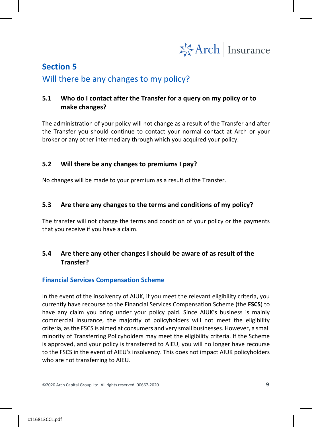

## **Section 5** Will there be any changes to my policy?

#### **5.1 Who do I contact after the Transfer for a query on my policy or to make changes?**

The administration of your policy will not change as a result of the Transfer and after the Transfer you should continue to contact your normal contact at Arch or your broker or any other intermediary through which you acquired your policy.

#### **5.2 Will there be any changes to premiums I pay?**

No changes will be made to your premium as a result of the Transfer.

#### **5.3 Are there any changes to the terms and conditions of my policy?**

The transfer will not change the terms and condition of your policy or the payments that you receive if you have a claim.

#### **5.4 Are there any other changes I should be aware of as result of the Transfer?**

#### **Financial Services Compensation Scheme**

In the event of the insolvency of AIUK, if you meet the relevant eligibility criteria, you currently have recourse to the Financial Services Compensation Scheme (the **FSCS**) to have any claim you bring under your policy paid. Since AIUK's business is mainly commercial insurance, the majority of policyholders will not meet the eligibility criteria, as the FSCS is aimed at consumers and very small businesses. However, a small minority of Transferring Policyholders may meet the eligibility criteria. If the Scheme is approved, and your policy is transferred to AIEU, you will no longer have recourse to the FSCS in the event of AIEU's insolvency. This does not impact AIUK policyholders who are not transferring to AIEU.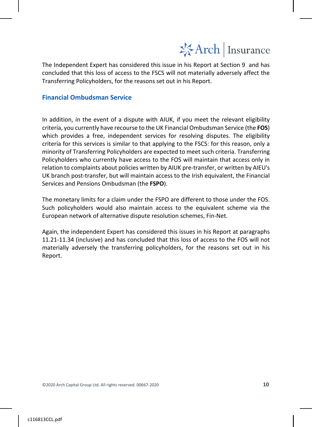

The Independent Expert has considered this issue in his Report at Section 9 and has concluded that this loss of access to the FSCS will not materially adversely affect the Transferring Policyholders, for the reasons set out in his Report.

#### **Financial Ombudsman Service**

In addition, in the event of a dispute with AIUK, if you meet the relevant eligibility criteria, you currently have recourse to the UK Financial Ombudsman Service (the **FOS**) which provides a free, independent services for resolving disputes. The eligibility criteria for this services is similar to that applying to the FSCS: for this reason, only a minority of Transferring Policyholders are expected to meet such criteria. Transferring Policyholders who currently have access to the FOS will maintain that access only in relation to complaints about policies written by AIUK pre-transfer, or written by AIEU's UK branch post-transfer, but will maintain access to the Irish equivalent, the Financial Services and Pensions Ombudsman (the **FSPO**).

The monetary limits for a claim under the FSPO are different to those under the FOS. Such policyholders would also maintain access to the equivalent scheme via the European network of alternative dispute resolution schemes, Fin-Net.

<span id="page-11-0"></span>Again, the independent Expert has considered this issues in his Report at paragraphs 11.21-11.34 (inclusive) and has concluded that this loss of access to the FOS will not materially adversely the transferring policyholders, for the reasons set out in his Report.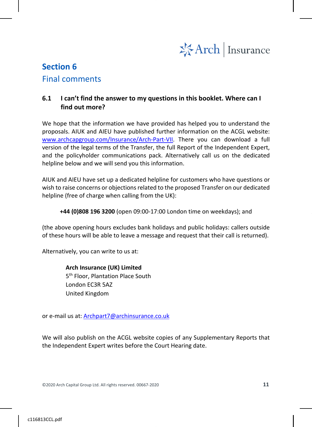

# **Section 6** Final comments

#### **6.1 I can't find the answer to my questions in this booklet. Where can I find out more?**

We hope that the information we have provided has helped you to understand the proposals. AIUK and AIEU have published further information on the ACGL website: www.archcapgroup.com/Insurance/Arch-Part-VII. There you can download a full version of the legal terms of the Transfer, the full Report of the Independent Expert, and the policyholder communications pack. Alternatively call us on the dedicated helpline below and we will send you this information.

AIUK and AIEU have set up a dedicated helpline for customers who have questions or wish to raise concerns or objections related to the proposed Transfer on our dedicated helpline (free of charge when calling from the UK):

**+44 (0)808 196 3200** (open 09:00-17:00 London time on weekdays); and

(the above opening hours excludes bank holidays and public holidays: callers outside of these hours will be able to leave a message and request that their call is returned).

Alternatively, you can write to us at:

**Arch Insurance (UK) Limited** 5<sup>th</sup> Floor, Plantation Place South London EC3R 5AZ United Kingdom

or e-mail us at: Archpart7@archinsurance.co.uk

We will also publish on the ACGL website copies of any Supplementary Reports that the Independent Expert writes before the Court Hearing date.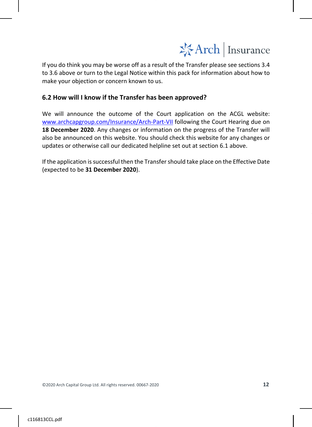

If you do think you may be worse off as a result of the Transfer please see sections 3.4 to 3.6 above or turn to the Legal Notice within this pack for information about how to make your objection or concern known to us.

#### **6.2 How will I know if the Transfer has been approved?**

We will announce the outcome of the Court application on the ACGL website: www.archcapgroup.com/Insurance/Arch-Part-VII following the Court Hearing due on **18 December 2020**. Any changes or information on the progress of the Transfer will also be announced on this website. You should check this website for any changes or updates or otherwise call our dedicated helpline set out at section 6.1 above.

<span id="page-13-0"></span>If the application is successful then the Transfer should take place on the Effective Date (expected to be **31 December 2020**).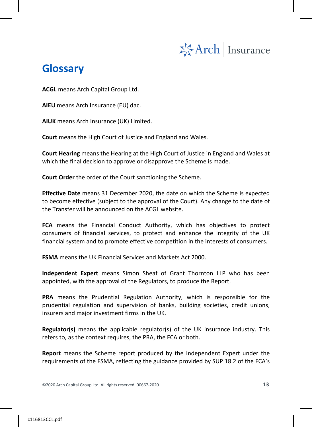

# **Glossary**

**ACGL** means Arch Capital Group Ltd.

**AIEU** means Arch Insurance (EU) dac.

**AIUK** means Arch Insurance (UK) Limited.

**Court** means the High Court of Justice and England and Wales.

**Court Hearing** means the Hearing at the High Court of Justice in England and Wales at which the final decision to approve or disapprove the Scheme is made.

**Court Order** the order of the Court sanctioning the Scheme.

**Effective Date** means 31 December 2020, the date on which the Scheme is expected to become effective (subject to the approval of the Court). Any change to the date of the Transfer will be announced on the ACGL website.

**FCA** means the Financial Conduct Authority, which has objectives to protect consumers of financial services, to protect and enhance the integrity of the UK financial system and to promote effective competition in the interests of consumers.

**FSMA** means the UK Financial Services and Markets Act 2000.

**Independent Expert** means Simon Sheaf of Grant Thornton LLP who has been appointed, with the approval of the Regulators, to produce the Report.

**PRA** means the Prudential Regulation Authority, which is responsible for the prudential regulation and supervision of banks, building societies, credit unions, insurers and major investment firms in the UK.

**Regulator(s)** means the applicable regulator(s) of the UK insurance industry. This refers to, as the context requires, the PRA, the FCA or both.

**Report** means the Scheme report produced by the Independent Expert under the requirements of the FSMA, reflecting the guidance provided by SUP 18.2 of the FCA's